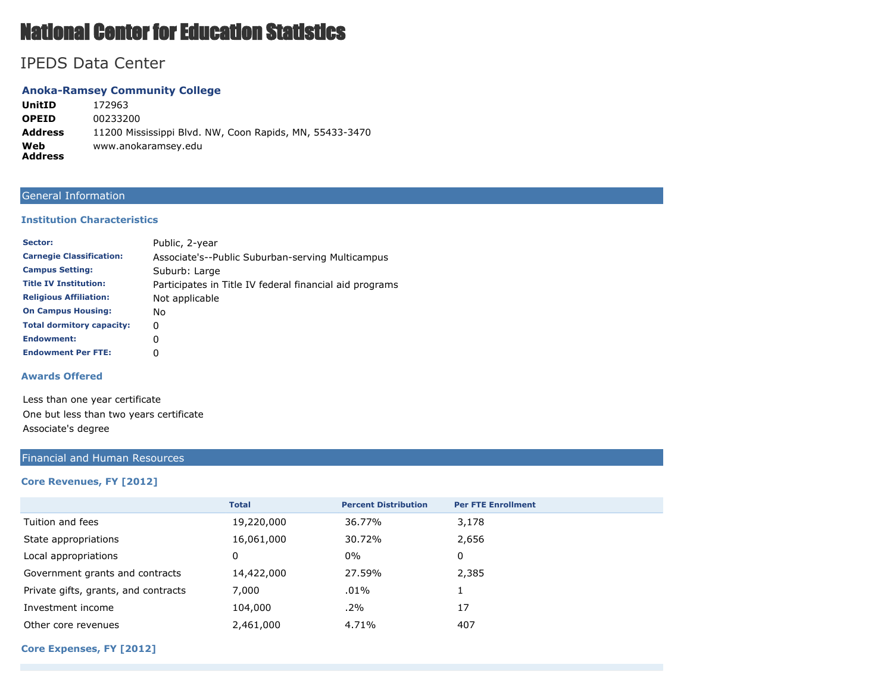# National Center for Education Statistics

## IPEDS Data Center

#### **Anoka-Ramsey Community College**

**UnitID** 172963 **OPEID** 00233200 **Address** 11200 Mississippi Blvd. NW, Coon Rapids, MN, 55433-3470 **Web Address** www.anokaramsey.edu

### General Information

#### **Institution Characteristics**

| Sector:                          | Public, 2-year                                          |
|----------------------------------|---------------------------------------------------------|
| <b>Carnegie Classification:</b>  | Associate's--Public Suburban-serving Multicampus        |
| <b>Campus Setting:</b>           | Suburb: Large                                           |
| <b>Title IV Institution:</b>     | Participates in Title IV federal financial aid programs |
| <b>Religious Affiliation:</b>    | Not applicable                                          |
| <b>On Campus Housing:</b>        | No.                                                     |
| <b>Total dormitory capacity:</b> | 0                                                       |
| <b>Endowment:</b>                | 0                                                       |
| <b>Endowment Per FTE:</b>        | 0                                                       |

#### **Awards Offered**

Less than one year certificate One but less than two years certificate Associate's degree

#### Financial and Human Resources

#### **Core Revenues, FY [2012]**

|                                      | <b>Total</b> | <b>Percent Distribution</b> | <b>Per FTE Enrollment</b> |
|--------------------------------------|--------------|-----------------------------|---------------------------|
| Tuition and fees                     | 19,220,000   | 36.77%                      | 3,178                     |
| State appropriations                 | 16,061,000   | 30.72%                      | 2,656                     |
| Local appropriations                 | 0            | 0%                          | 0                         |
| Government grants and contracts      | 14,422,000   | 27.59%                      | 2,385                     |
| Private gifts, grants, and contracts | 7,000        | $.01\%$                     |                           |
| Investment income                    | 104,000      | $.2\%$                      | 17                        |
| Other core revenues                  | 2,461,000    | 4.71%                       | 407                       |

#### **Core Expenses, FY [2012]**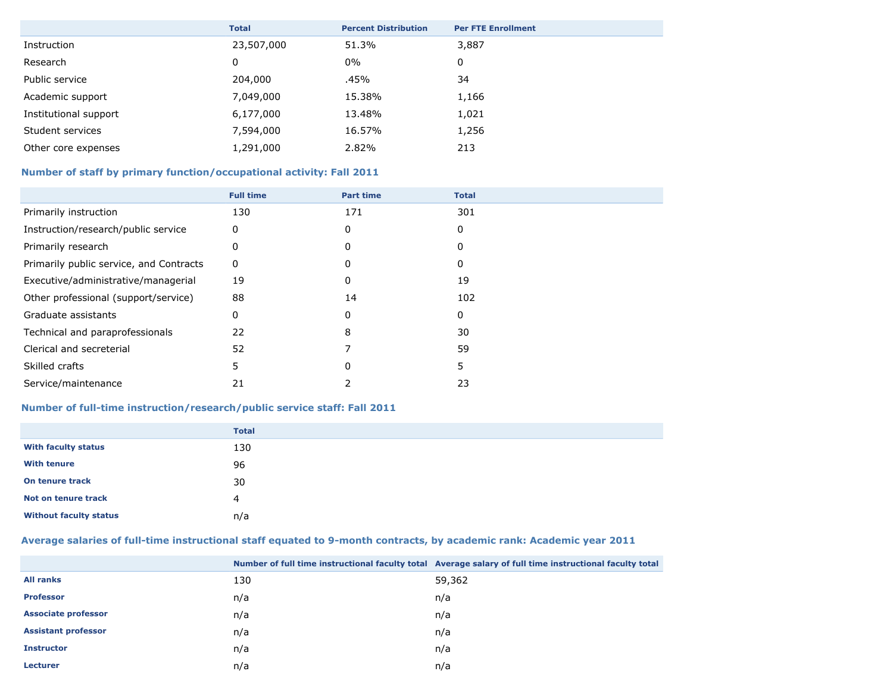|                       | <b>Total</b> | <b>Percent Distribution</b> | <b>Per FTE Enrollment</b> |
|-----------------------|--------------|-----------------------------|---------------------------|
| Instruction           | 23,507,000   | 51.3%                       | 3,887                     |
| Research              | 0            | 0%                          | 0                         |
| Public service        | 204,000      | .45%                        | 34                        |
| Academic support      | 7,049,000    | 15.38%                      | 1,166                     |
| Institutional support | 6,177,000    | 13.48%                      | 1,021                     |
| Student services      | 7,594,000    | 16.57%                      | 1,256                     |
| Other core expenses   | 1,291,000    | 2.82%                       | 213                       |

### **Number of staff by primary function/occupational activity: Fall 2011**

|                                         | <b>Full time</b> | <b>Part time</b> | <b>Total</b> |
|-----------------------------------------|------------------|------------------|--------------|
| Primarily instruction                   | 130              | 171              | 301          |
| Instruction/research/public service     | 0                | 0                | 0            |
| Primarily research                      |                  |                  |              |
| Primarily public service, and Contracts | 0                | O                |              |
| Executive/administrative/managerial     | 19               | 0                | 19           |
| Other professional (support/service)    | 88               | 14               | 102          |
| Graduate assistants                     | 0                |                  | 0            |
| Technical and paraprofessionals         | 22               | 8                | 30           |
| Clerical and secreterial                | 52               |                  | 59           |
| Skilled crafts                          | 5                |                  | 5            |
| Service/maintenance                     | 21               |                  | 23           |

### **Number of full-time instruction/research/public service staff: Fall 2011**

|                               | <b>Total</b> |
|-------------------------------|--------------|
| <b>With faculty status</b>    | 130          |
| <b>With tenure</b>            | 96           |
| On tenure track               | 30           |
| Not on tenure track           | 4            |
| <b>Without faculty status</b> | n/a          |

### **Average salaries of full-time instructional staff equated to 9-month contracts, by academic rank: Academic year 2011**

|                            |     | Number of full time instructional faculty total Average salary of full time instructional faculty total |
|----------------------------|-----|---------------------------------------------------------------------------------------------------------|
| <b>All ranks</b>           | 130 | 59,362                                                                                                  |
| <b>Professor</b>           | n/a | n/a                                                                                                     |
| <b>Associate professor</b> | n/a | n/a                                                                                                     |
| <b>Assistant professor</b> | n/a | n/a                                                                                                     |
| <b>Instructor</b>          | n/a | n/a                                                                                                     |
| <b>Lecturer</b>            | n/a | n/a                                                                                                     |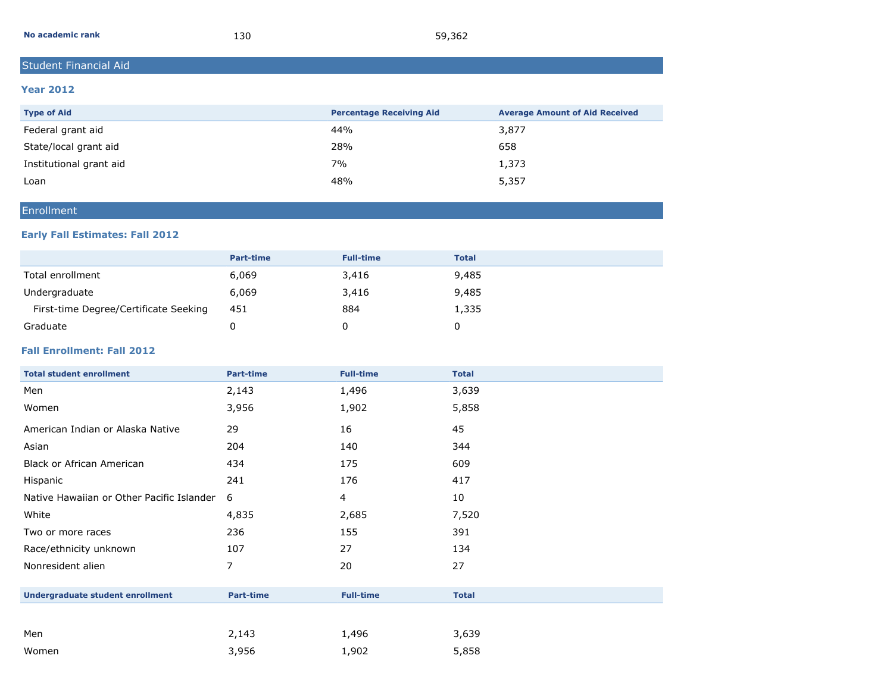| No academic rank | 130 | 59,362 |
|------------------|-----|--------|
|------------------|-----|--------|

### Student Financial Aid

#### **Year 2012**

| <b>Type of Aid</b>      | <b>Percentage Receiving Aid</b> | <b>Average Amount of Aid Received</b> |
|-------------------------|---------------------------------|---------------------------------------|
| Federal grant aid       | 44%                             | 3,877                                 |
| State/local grant aid   | 28%                             | 658                                   |
| Institutional grant aid | 7%                              | 1,373                                 |
| Loan                    | 48%                             | 5,357                                 |

### Enrollment

### **Early Fall Estimates: Fall 2012**

|                                       | <b>Part-time</b> | <b>Full-time</b> | <b>Total</b> |
|---------------------------------------|------------------|------------------|--------------|
| Total enrollment                      | 6,069            | 3,416            | 9,485        |
| Undergraduate                         | 6,069            | 3,416            | 9,485        |
| First-time Degree/Certificate Seeking | 451              | 884              | 1,335        |
| Graduate                              |                  |                  |              |

### **Fall Enrollment: Fall 2012**

| <b>Total student enrollment</b>           | <b>Part-time</b> | <b>Full-time</b> | <b>Total</b> |
|-------------------------------------------|------------------|------------------|--------------|
| Men                                       | 2,143            | 1,496            | 3,639        |
| Women                                     | 3,956            | 1,902            | 5,858        |
| American Indian or Alaska Native          | 29               | 16               | 45           |
| Asian                                     | 204              | 140              | 344          |
| <b>Black or African American</b>          | 434              | 175              | 609          |
| Hispanic                                  | 241              | 176              | 417          |
| Native Hawaiian or Other Pacific Islander | 6                | 4                | 10           |
| White                                     | 4,835            | 2,685            | 7,520        |
| Two or more races                         | 236              | 155              | 391          |
| Race/ethnicity unknown                    | 107              | 27               | 134          |
| Nonresident alien                         | 7                | 20               | 27           |
| <b>Undergraduate student enrollment</b>   | <b>Part-time</b> | <b>Full-time</b> | <b>Total</b> |
|                                           |                  |                  |              |
| Men                                       | 2,143            | 1,496            | 3,639        |
| Women                                     | 3,956            | 1,902            | 5,858        |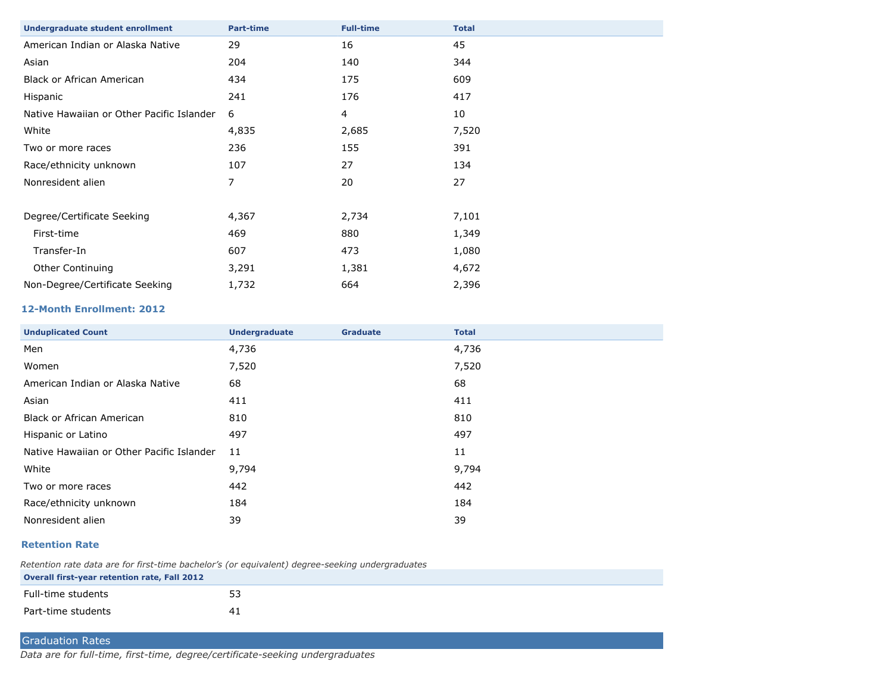| <b>Part-time</b> | <b>Full-time</b> | <b>Total</b> |
|------------------|------------------|--------------|
| 29               | 16               | 45           |
| 204              | 140              | 344          |
| 434              | 175              | 609          |
| 241              | 176              | 417          |
| 6                | 4                | 10           |
| 4,835            | 2,685            | 7,520        |
| 236              | 155              | 391          |
| 107              | 27               | 134          |
| 7                | 20               | 27           |
|                  |                  |              |
| 4,367            | 2,734            | 7,101        |
| 469              | 880              | 1,349        |
| 607              | 473              | 1,080        |
| 3,291            | 1,381            | 4,672        |
| 1,732            | 664              | 2,396        |
|                  |                  |              |

#### **12-Month Enrollment: 2012**

| <b>Unduplicated Count</b>                 | <b>Undergraduate</b> | <b>Graduate</b> | <b>Total</b> |
|-------------------------------------------|----------------------|-----------------|--------------|
| Men                                       | 4,736                |                 | 4,736        |
| Women                                     | 7,520                |                 | 7,520        |
| American Indian or Alaska Native          | 68                   |                 | 68           |
| Asian                                     | 411                  |                 | 411          |
| Black or African American                 | 810                  |                 | 810          |
| Hispanic or Latino                        | 497                  |                 | 497          |
| Native Hawaiian or Other Pacific Islander | 11                   |                 | 11           |
| White                                     | 9,794                |                 | 9,794        |
| Two or more races                         | 442                  |                 | 442          |
| Race/ethnicity unknown                    | 184                  |                 | 184          |
| Nonresident alien                         | 39                   |                 | 39           |

#### **Retention Rate**

*Retention rate data are for first-time bachelor's (or equivalent) degree-seeking undergraduates* **Overall first-year retention rate, Fall 2012**

| Full-time students | $ \sim$ |
|--------------------|---------|
| Part-time students |         |

### Graduation Rates

*Data are for full-time, first-time, degree/certificate-seeking undergraduates*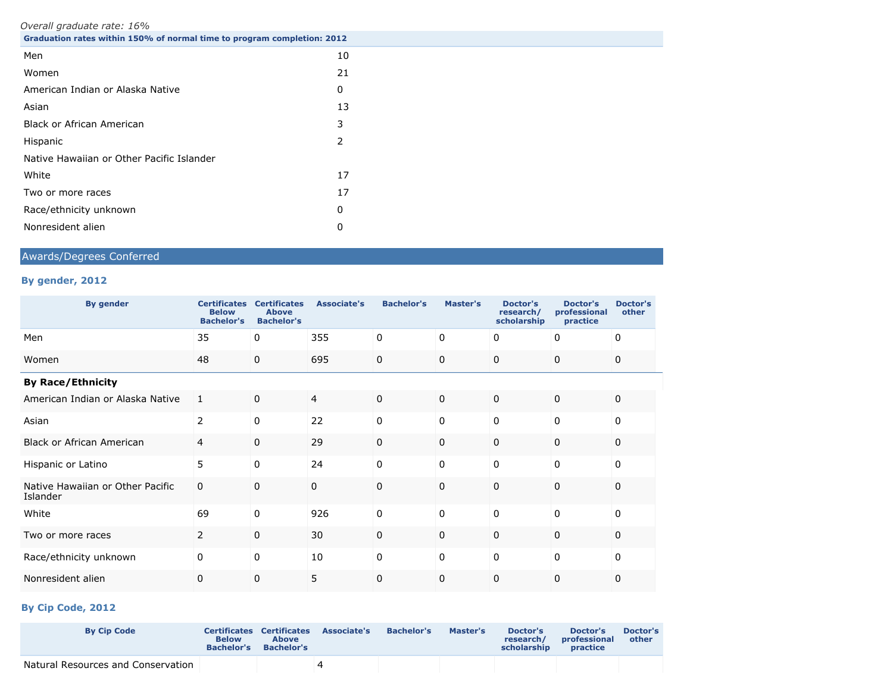*Overall graduate rate: 16%*

| $\sigma$ , eram graagade racer ±0,0<br>Graduation rates within 150% of normal time to program completion: 2012 |    |
|----------------------------------------------------------------------------------------------------------------|----|
| Men                                                                                                            | 10 |
| Women                                                                                                          | 21 |
| American Indian or Alaska Native                                                                               | 0  |
| Asian                                                                                                          | 13 |
| <b>Black or African American</b>                                                                               | 3  |
| Hispanic                                                                                                       | 2  |
| Native Hawaiian or Other Pacific Islander                                                                      |    |
| White                                                                                                          | 17 |
| Two or more races                                                                                              | 17 |
| Race/ethnicity unknown                                                                                         | 0  |
| Nonresident alien                                                                                              | 0  |

### Awards/Degrees Conferred

### **By gender, 2012**

| <b>By gender</b>                             | <b>Certificates</b><br><b>Below</b><br><b>Bachelor's</b> | <b>Certificates</b><br><b>Above</b><br><b>Bachelor's</b> | <b>Associate's</b> | <b>Bachelor's</b> | Master's    | <b>Doctor's</b><br>research/<br>scholarship | <b>Doctor's</b><br>professional<br>practice | <b>Doctor's</b><br>other |  |
|----------------------------------------------|----------------------------------------------------------|----------------------------------------------------------|--------------------|-------------------|-------------|---------------------------------------------|---------------------------------------------|--------------------------|--|
| Men                                          | 35                                                       | 0                                                        | 355                | 0                 | 0           | 0                                           | 0                                           | 0                        |  |
| Women                                        | 48                                                       | $\mathbf 0$                                              | 695                | $\mathbf 0$       | 0           | $\mathbf 0$                                 | $\mathbf 0$                                 | 0                        |  |
| <b>By Race/Ethnicity</b>                     |                                                          |                                                          |                    |                   |             |                                             |                                             |                          |  |
| American Indian or Alaska Native             | 1                                                        | $\mathbf 0$                                              | 4                  | $\mathbf 0$       | $\mathbf 0$ | $\Omega$                                    | $\mathbf 0$                                 | 0                        |  |
| Asian                                        | $\overline{2}$                                           | $\mathbf 0$                                              | 22                 | $\mathbf 0$       | 0           | $\mathbf 0$                                 | 0                                           | $\Omega$                 |  |
| <b>Black or African American</b>             | 4                                                        | $\mathbf 0$                                              | 29                 | $\mathbf 0$       | 0           | 0                                           | 0                                           | 0                        |  |
| Hispanic or Latino                           | 5                                                        | $\mathbf 0$                                              | 24                 | 0                 | 0           | 0                                           | 0                                           | 0                        |  |
| Native Hawaiian or Other Pacific<br>Islander | 0                                                        | $\mathbf 0$                                              | 0                  | $\mathbf 0$       | $\Omega$    | $\Omega$                                    | 0                                           | $\Omega$                 |  |
| White                                        | 69                                                       | $\mathbf 0$                                              | 926                | $\mathbf 0$       | 0           | $\Omega$                                    | 0                                           | $\Omega$                 |  |
| Two or more races                            | 2                                                        | $\mathbf 0$                                              | 30                 | $\mathbf 0$       | 0           | $\mathbf 0$                                 | $\Omega$                                    | $\Omega$                 |  |
| Race/ethnicity unknown                       | 0                                                        | 0                                                        | 10                 | $\pmb{0}$         | 0           | 0                                           | 0                                           | 0                        |  |
| Nonresident alien                            | 0                                                        | 0                                                        | 5                  | $\mathbf 0$       | 0           | 0                                           | 0                                           | 0                        |  |

### **By Cip Code, 2012**

| <b>By Cip Code</b>                 | <b>Below</b><br><b>Bachelor's</b> | <b>Certificates Certificates</b><br><b>Above</b><br><b>Bachelor's</b> | <b>Associate's</b> | <b>Bachelor's</b> | Master's | Doctor's<br>research/<br>scholarship | Doctor's<br>professional<br>practice | Doctor's<br>other |
|------------------------------------|-----------------------------------|-----------------------------------------------------------------------|--------------------|-------------------|----------|--------------------------------------|--------------------------------------|-------------------|
| Natural Resources and Conservation |                                   |                                                                       |                    |                   |          |                                      |                                      |                   |